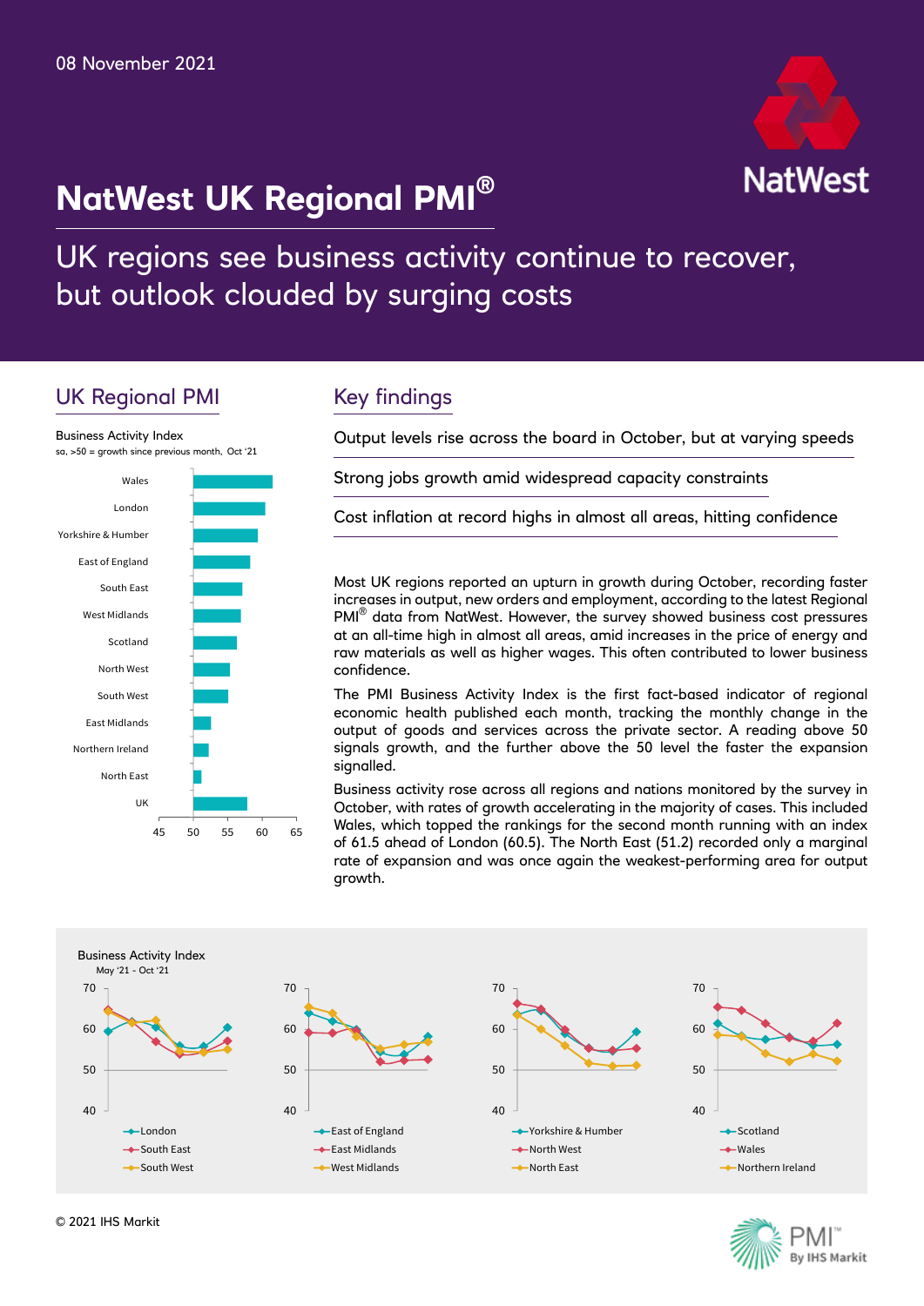# **NatWest UK Regional PMI®**



UK regions see business activity continue to recover, but outlook clouded by surging costs

# UK Regional PMI



# Key findings

Output levels rise across the board in October, but at varying speeds

Strong jobs growth amid widespread capacity constraints

Cost inflation at record highs in almost all areas, hitting confidence

Most UK regions reported an upturn in growth during October, recording faster increases in output, new orders and employment, according to the latest Regional PMI<sup>®</sup> data from NatWest. However, the survey showed business cost pressures at an all-time high in almost all areas, amid increases in the price of energy and raw materials as well as higher wages. This often contributed to lower business confidence.

The PMI Business Activity Index is the first fact-based indicator of regional economic health published each month, tracking the monthly change in the output of goods and services across the private sector. A reading above 50 signals growth, and the further above the 50 level the faster the expansion signalled.

Business activity rose across all regions and nations monitored by the survey in October, with rates of growth accelerating in the majority of cases. This included Wales, which topped the rankings for the second month running with an index of 61.5 ahead of London (60.5). The North East (51.2) recorded only a marginal rate of expansion and was once again the weakest-performing area for output growth.



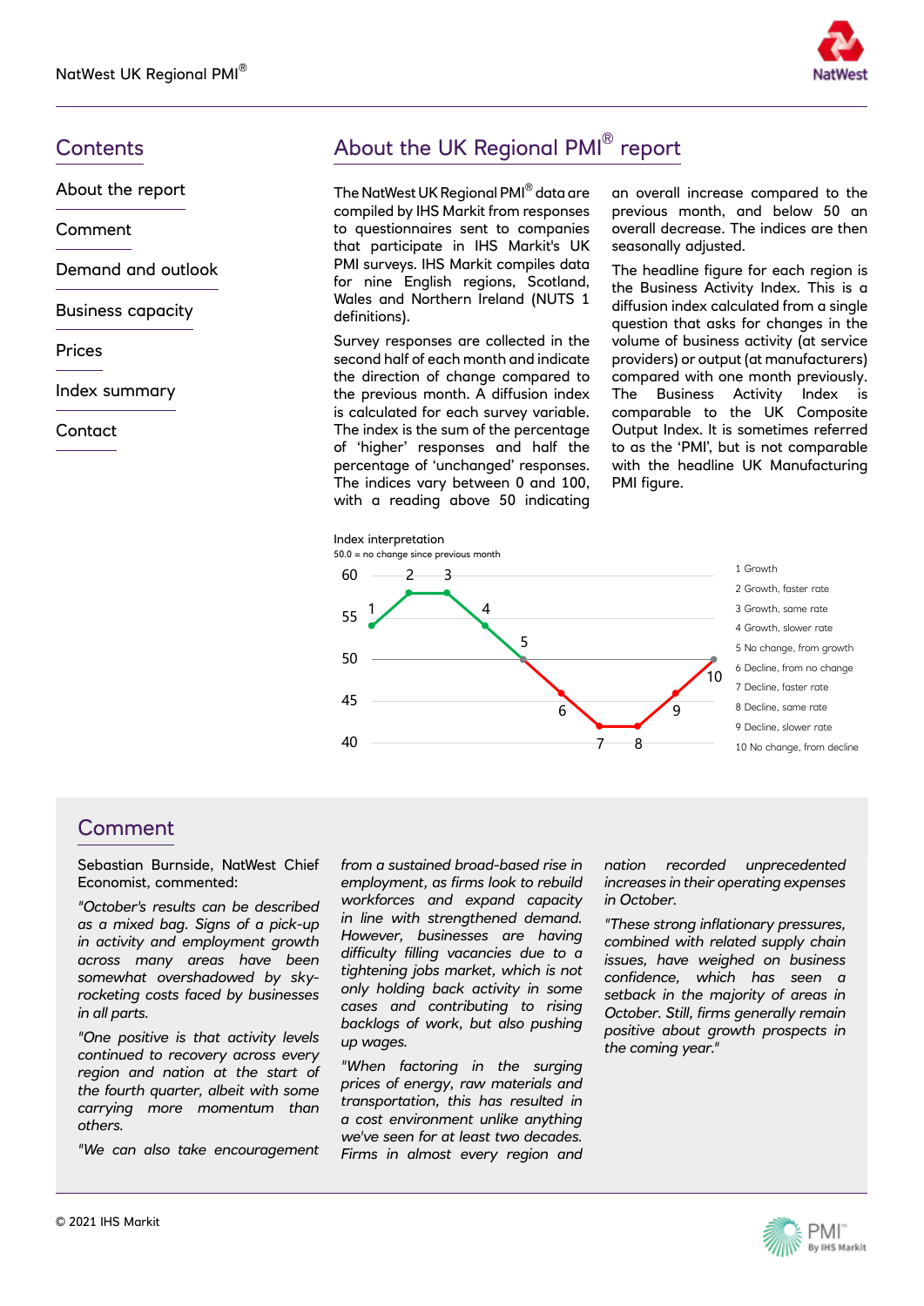

About the report

Comment

Demand and outlook

Business capacity

Prices

Index summary

**Contact** 

# Contents **Contents** About the UK Regional PMI<sup>®</sup> report

The NatWest UK Regional PMI® data are compiled by IHS Markit from responses to questionnaires sent to companies that participate in IHS Markit's UK PMI surveys. IHS Markit compiles data for nine English regions, Scotland, Wales and Northern Ireland (NUTS 1 definitions).

Survey responses are collected in the second half of each month and indicate the direction of change compared to the previous month. A diffusion index is calculated for each survey variable. The index is the sum of the percentage of 'higher' responses and half the percentage of 'unchanged' responses. The indices vary between 0 and 100, with a reading above 50 indicating an overall increase compared to the previous month, and below 50 an overall decrease. The indices are then seasonally adjusted.

The headline figure for each region is the Business Activity Index. This is a diffusion index calculated from a single question that asks for changes in the volume of business activity (at service providers) or output (at manufacturers) compared with one month previously. The Business Activity Index is comparable to the UK Composite Output Index. It is sometimes referred to as the 'PMI', but is not comparable with the headline UK Manufacturing PMI figure.



#### **Comment**

Sebastian Burnside, NatWest Chief Economist, commented:

*"October's results can be described as a mixed bag. Signs of a pick-up in activity and employment growth across many areas have been somewhat overshadowed by skyrocketing costs faced by businesses in all parts.*

*"One positive is that activity levels continued to recovery across every region and nation at the start of the fourth quarter, albeit with some carrying more momentum than others.* 

*"We can also take encouragement* 

*from a sustained broad-based rise in employment, as firms look to rebuild workforces and expand capacity in line with strengthened demand. However, businesses are having difficulty filling vacancies due to a tightening jobs market, which is not only holding back activity in some cases and contributing to rising backlogs of work, but also pushing up wages.*

*"When factoring in the surging prices of energy, raw materials and transportation, this has resulted in a cost environment unlike anything we've seen for at least two decades. Firms in almost every region and*  *nation recorded unprecedented increases in their operating expenses in October.* 

*"These strong inflationary pressures, combined with related supply chain issues, have weighed on business confidence, which has seen a setback in the majority of areas in October. Still, firms generally remain positive about growth prospects in the coming year."*

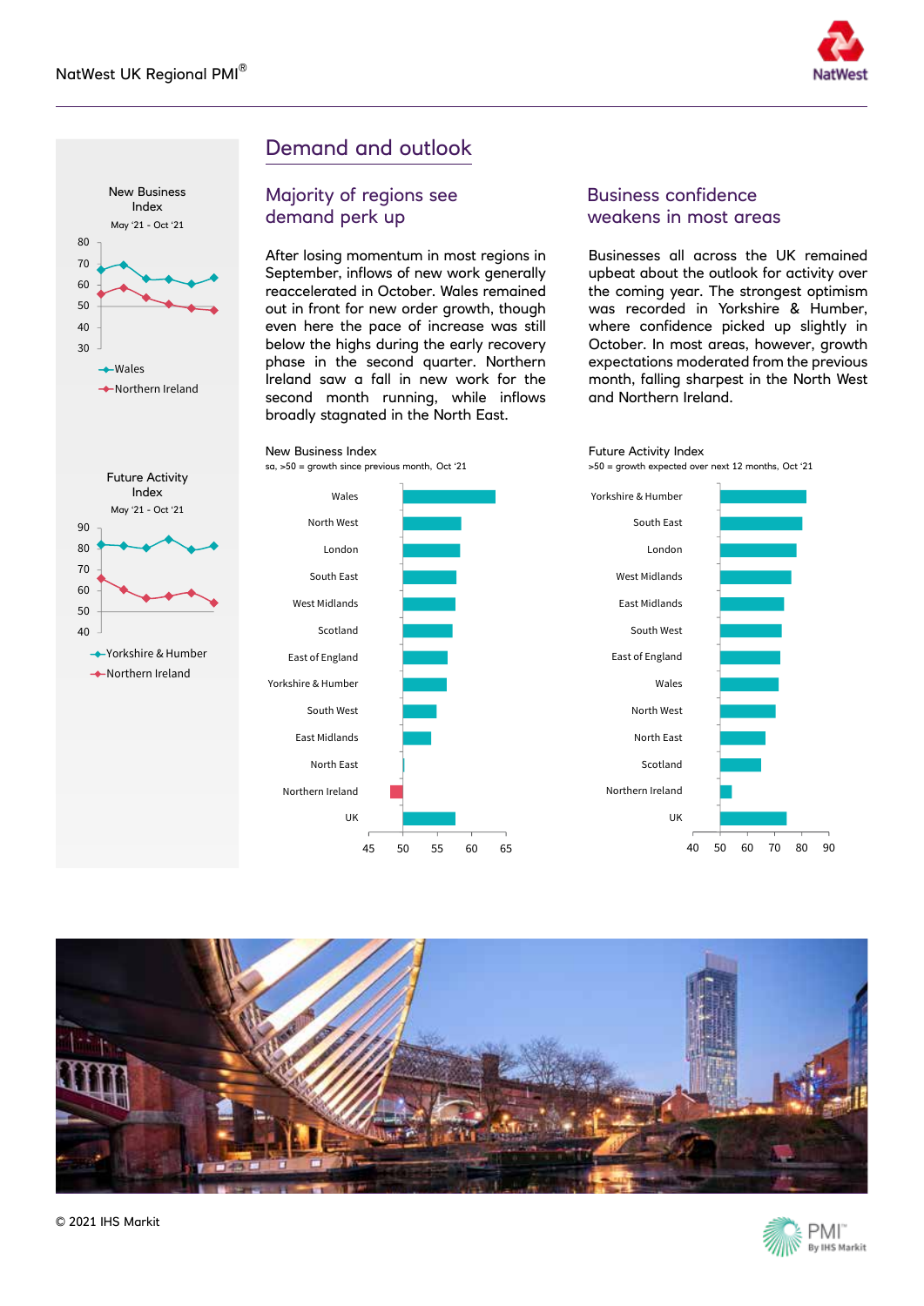



## Demand and outlook

Majority of regions see demand perk up

After losing momentum in most regions in September, inflows of new work generally reaccelerated in October. Wales remained out in front for new order growth, though even here the pace of increase was still below the highs during the early recovery phase in the second quarter. Northern Ireland saw a fall in new work for the second month running, while inflows broadly stagnated in the North East.

#### Business confidence weakens in most areas

Future Activity Index

Businesses all across the UK remained upbeat about the outlook for activity over the coming year. The strongest optimism was recorded in Yorkshire & Humber, where confidence picked up slightly in October. In most areas, however, growth expectations moderated from the previous month, falling sharpest in the North West and Northern Ireland.





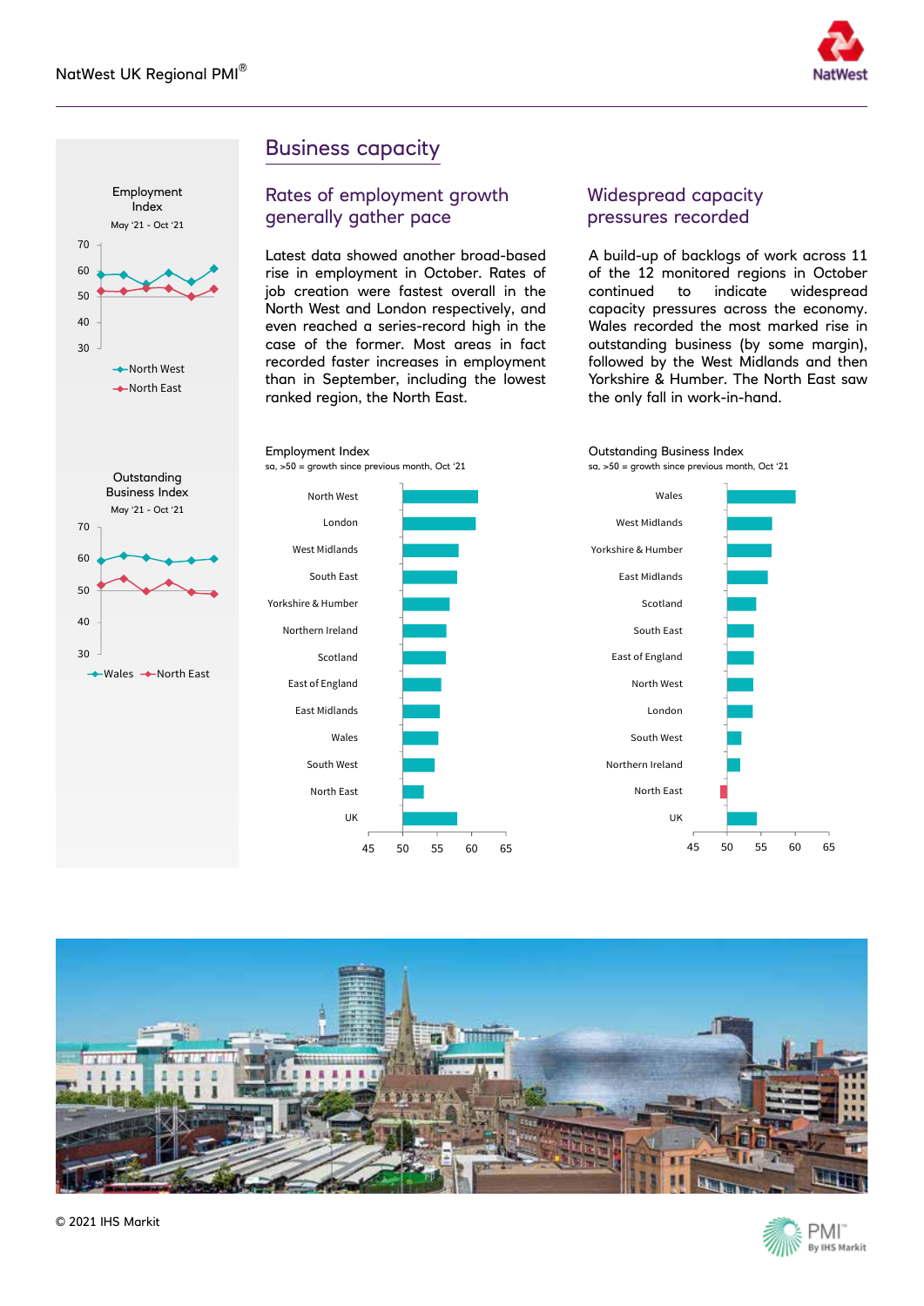



# Business capacity

#### Rates of employment growth generally gather pace

Latest data showed another broad-based rise in employment in October. Rates of job creation were fastest overall in the North West and London respectively, and even reached a series-record high in the case of the former. Most areas in fact recorded faster increases in employment than in September, including the lowest ranked region, the North East.

#### Widespread capacity pressures recorded

A build-up of backlogs of work across 11 of the 12 monitored regions in October continued to indicate widespread capacity pressures across the economy. Wales recorded the most marked rise in outstanding business (by some margin), followed by the West Midlands and then Yorkshire & Humber. The North East saw the only fall in work-in-hand.







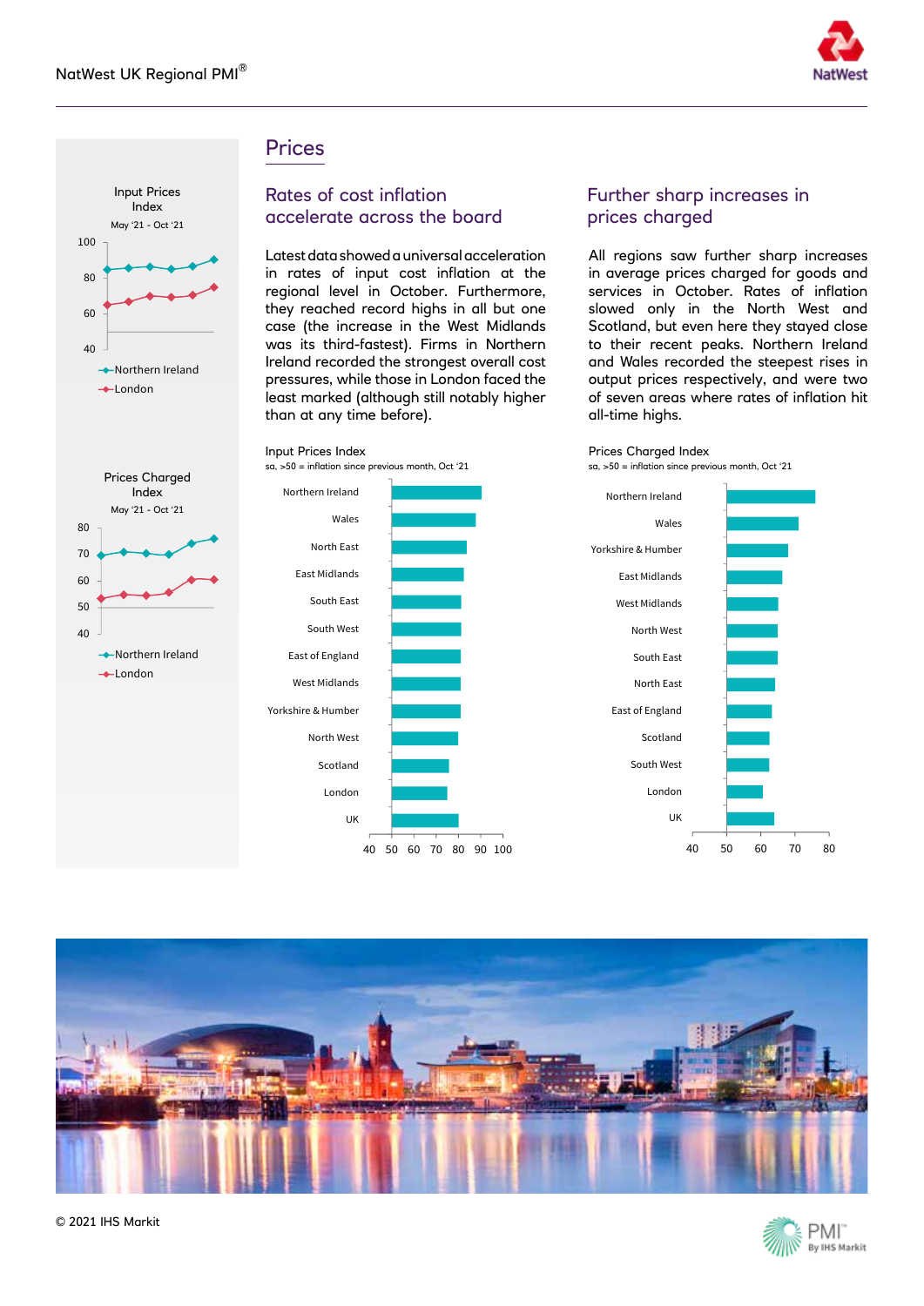

#### **Prices**

Input Prices Index

sa, >50 = inflation since previous month, Oct '21



Index May '21 - Oct '21

**→**Northern Ireland  $\leftarrow$ London

#### Rates of cost inflation accelerate across the board

Latest data showed a universal acceleration in rates of input cost inflation at the regional level in October. Furthermore, they reached record highs in all but one case (the increase in the West Midlands was its third-fastest). Firms in Northern Ireland recorded the strongest overall cost pressures, while those in London faced the least marked (although still notably higher than at any time before).

#### Further sharp increases in prices charged

All regions saw further sharp increases in average prices charged for goods and services in October. Rates of inflation slowed only in the North West and Scotland, but even here they stayed close to their recent peaks. Northern Ireland and Wales recorded the steepest rises in output prices respectively, and were two of seven areas where rates of inflation hit all-time highs.



sa, >50 = inflation since previous month, Oct '21